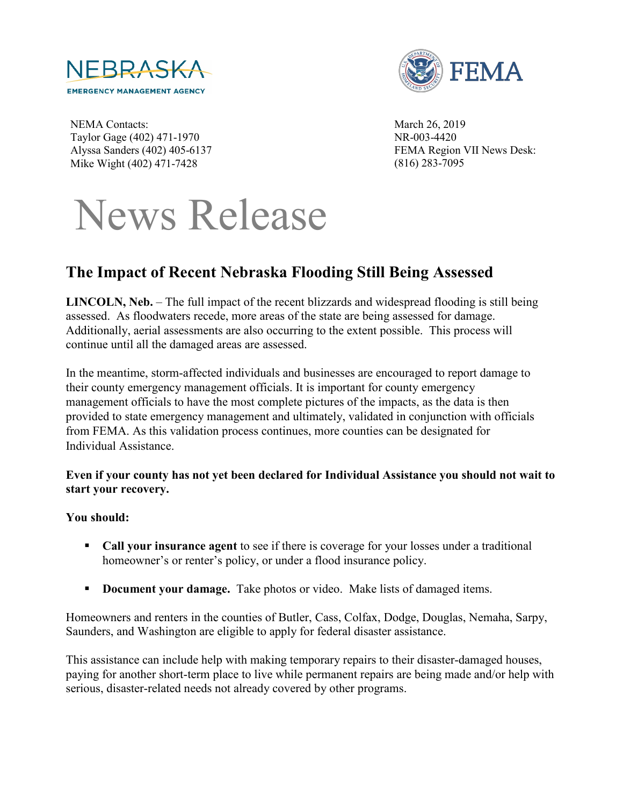



NEMA Contacts: Taylor Gage (402) 471-1970 Alyssa Sanders (402) 405-6137 Mike Wight (402) 471-7428

March 26, 2019 NR-003-4420 FEMA Region VII News Desk: (816) 283-7095

# News Release

# **The Impact of Recent Nebraska Flooding Still Being Assessed**

**LINCOLN, Neb.** – The full impact of the recent blizzards and widespread flooding is still being assessed. As floodwaters recede, more areas of the state are being assessed for damage. Additionally, aerial assessments are also occurring to the extent possible. This process will continue until all the damaged areas are assessed.

In the meantime, storm-affected individuals and businesses are encouraged to report damage to their county emergency management officials. It is important for county emergency management officials to have the most complete pictures of the impacts, as the data is then provided to state emergency management and ultimately, validated in conjunction with officials from FEMA. As this validation process continues, more counties can be designated for Individual Assistance.

#### **Even if your county has not yet been declared for Individual Assistance you should not wait to start your recovery.**

## **You should:**

- **Call your insurance agent** to see if there is coverage for your losses under a traditional homeowner's or renter's policy, or under a flood insurance policy.
- **Document your damage.** Take photos or video. Make lists of damaged items.

Homeowners and renters in the counties of Butler, Cass, Colfax, Dodge, Douglas, Nemaha, Sarpy, Saunders, and Washington are eligible to apply for federal disaster assistance.

This assistance can include help with making temporary repairs to their disaster-damaged houses, paying for another short-term place to live while permanent repairs are being made and/or help with serious, disaster-related needs not already covered by other programs.